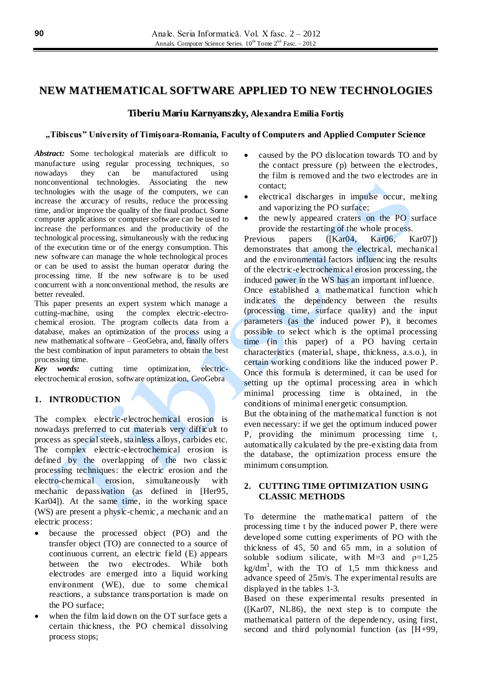# **NEW MATHEMATICAL SOFTWARE APPLIED TO NEW TECHNOLOGIES**

### **Tiberiu Mariu Karnyanszky, Alexandra Emilia Fortiş**

#### **"Tibiscus" University of Timişoara-Romania, Faculty of Computers and Applied Computer Science**

*Abstract:* Some techological materials are difficult to manufacture using regular processing techniques, so nowadays they can be manufactured using nonconventional technologies. Associating the new technologies with the usage of the computers, we can increase the accuracy of results, reduce the processing time, and/or improve the quality of the final product. Some computer applications or computer software can be used to increase the performances and the productivity of the technological processing, simultaneously with the reducing of the execution time or of the energy consumption. This new software can manage the whole technological proces or can be used to assist the human operator during the processing time. If the new software is to be used concurrent with a nonconventional method, the results are better revealed.

This paper presents an expert system which manage a cutting-machine, using the complex electric-electrochemical erosion. The program collects data from a database, makes an optimization of the process using a new mathematical software – GeoGebra, and, finally offers the best combination of input parameters to obtain the best processing time.

*Key words:* cutting time optimization, electricelectrochemical erosion, software optimization, GeoGebra

# **1. INTRODUCTION**

The complex electric-electrochemical erosion is nowadays preferred to cut materials very difficult to process as special steels, stainless alloys, carbides etc. The complex electric-electrochemical erosion is defined by the overlapping of the two classic processing techniques: the electric erosion and the electro-chemical erosion, simultaneously with mechanic depassivation (as defined in [Her95, Kar04]). At the same time, in the working space (WS) are present a physic-chemic, a mechanic and an electric process:

- because the processed object (PO) and the transfer object (TO) are connected to a source of continuous current, an electric field (E) appears between the two electrodes. While both electrodes are emerged into a liquid working environment (WE), due to some chemical reactions, a substance transportation is made on the PO surface;
- when the film laid down on the OT surface gets a certain thickness, the PO chemical dissolving process stops;
- caused by the PO dislocation towards TO and by the contact pressure (p) between the electrodes, the film is removed and the two electrodes are in contact;
- electrical discharges in impulse occur, melting and vaporizing the PO surface;
- the newly appeared craters on the PO surface provide the restarting of the whole process.

Previous papers ([Kar04, Kar06, Kar07]) demonstrates that among the electrical, mechanical and the environmental factors influencing the results of the electric-electrochemical erosion processing, the induced power in the WS has an important influence. Once established a mathematical function which indicates the dependency between the results (processing time, surface quality) and the input parameters (as the induced power P), it becomes possible to select which is the optimal processing time (in this paper) of a PO having certain characteristics (material, shape, thickness, a.s.o.), in certain working conditions like the induced power P. Once this formula is determined, it can be used for setting up the optimal processing area in which minimal processing time is obtained, in the conditions of minimal energetic consumption.

But the obtaining of the mathematical function is not even necessary: if we get the optimum induced power P, providing the minimum processing time t, automatically calculated by the pre-existing data from the database, the optimization process ensure the minimum consumption.

# **2. CUTTING TIME OPTIMIZATION USING CLASSIC METHODS**

To determine the mathematical pattern of the processing time t by the induced power P, there were developed some cutting experiments of PO with the thickness of 45, 50 and 65 mm, in a solution of soluble sodium silicate, with  $M=3$  and  $p=1,25$  $\text{kg/dm}^3$ , with the TO of 1,5 mm thickness and advance speed of 25m/s. The experimental results are displayed in the tables 1-3.

Based on these experimental results presented in ([Kar07, NL86), the next step is to compute the mathematical pattern of the dependency, using first, second and third polynomial function (as [H+99,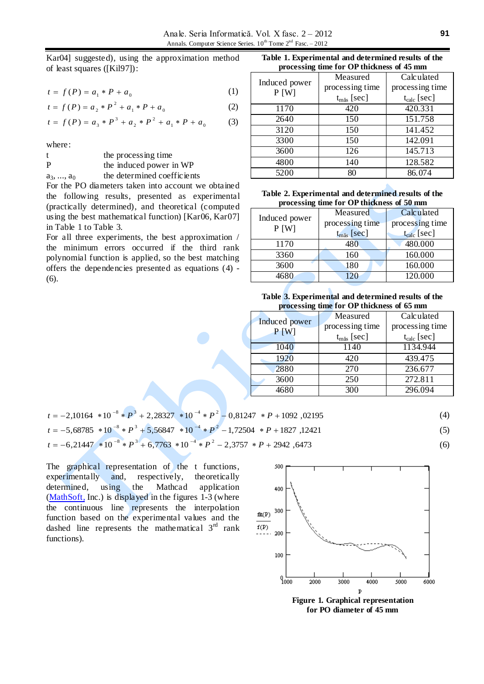Kar04] suggested), using the approximation method of least squares ([Kil97]):

$$
t = f(P) = a_1 * P + a_0 \tag{1}
$$

$$
t = f(P) = a_2 * P^2 + a_1 * P + a_0 \tag{2}
$$

$$
t = f(P) = a_3 * P^3 + a_2 * P^2 + a_1 * P + a_0 \tag{3}
$$

where:

|              | the processing time         |  |  |  |  |  |
|--------------|-----------------------------|--|--|--|--|--|
| P            | the induced power in WP     |  |  |  |  |  |
| $a_3, , a_0$ | the determined coefficients |  |  |  |  |  |

For the PO diameters taken into account we obtained the following results, presented as experimental (practically determined), and theoretical (computed using the best mathematical function) [Kar06, Kar07] in Table 1 to Table 3.

For all three experiments, the best approximation / the minimum errors occurred if the third rank polynomial function is applied, so the best matching offers the dependencies presented as equations (4) - (6).

**Table 1. Experimental and determined results of the processing time for OP thickness of 45 mm**

| -             |                        |                      |  |  |  |  |
|---------------|------------------------|----------------------|--|--|--|--|
| Induced power | Measured               | Calculated           |  |  |  |  |
| P[W]          | processing time        | processing time      |  |  |  |  |
|               | $t_{\text{m\&}}$ [sec] | $t_{calc}$ [sec]     |  |  |  |  |
| 1170          | 420                    | 420.331              |  |  |  |  |
| 2640          | 150                    | $151.\overline{758}$ |  |  |  |  |
| 3120          | 150                    | 141.452              |  |  |  |  |
| 3300          | 150                    | 142.091              |  |  |  |  |
| 3600          | 126                    | 145.713              |  |  |  |  |
| 4800          | 140                    | 128.582              |  |  |  |  |
| 5200          | 80                     | 86.074               |  |  |  |  |

| Table 2. Experimental and determined results of the |  |  |  |  |  |  |  |  |  |  |  |  |  |  |  |  |  |  |
|-----------------------------------------------------|--|--|--|--|--|--|--|--|--|--|--|--|--|--|--|--|--|--|
| processing time for OP thickness of 50 mm           |  |  |  |  |  |  |  |  |  |  |  |  |  |  |  |  |  |  |

| Induced power | Measured               | Calculated              |  |  |  |  |
|---------------|------------------------|-------------------------|--|--|--|--|
|               | processing time        | processing time         |  |  |  |  |
| P[W]          | $t_{\text{m\&}}$ [sec] | t <sub>calc</sub> [sec] |  |  |  |  |
| 1170          | 480                    | 480.000                 |  |  |  |  |
| 3360          | 160                    | 160.000                 |  |  |  |  |
| 3600          | 180                    | 160.000                 |  |  |  |  |
| 4680          | 120                    | 120.000                 |  |  |  |  |

**Table 3. Experimental and determined results of the processing time for OP thickness of 65 mm**

| o                     | Measured               | Calculated       |  |  |  |  |  |
|-----------------------|------------------------|------------------|--|--|--|--|--|
| Induced power<br>P[W] | processing time        | processing time  |  |  |  |  |  |
|                       | $t_{m\text{a}s}$ [sec] | $t_{calc}$ [sec] |  |  |  |  |  |
| 1040                  | 1140                   | 1134.944         |  |  |  |  |  |
| 1920                  | 420                    | 439.475          |  |  |  |  |  |
| 2880                  | 270                    | 236.677          |  |  |  |  |  |
| 3600                  | 250                    | 272.811          |  |  |  |  |  |
| 4680                  | 300                    | 296.094          |  |  |  |  |  |

| $t = -2,10164 * 10^{-8} * P^3 + 2,28327 * 10^{-4} * P^2 - 0,81247 * P + 1092,02195$   | (4) |
|---------------------------------------------------------------------------------------|-----|
| $t = -5.68785 * 10^{-8} * P^3 + 5.56847 * 10^{-4} * P^2 - 1.72504 * P + 1827$ , 12421 |     |
| $t = -6,21447 * 10^{-8} * P^3 + 6,7763 * 10^{-4} * P^2 - 2,3757 * P + 2942,6473$      | (6) |

The graphical representation of the t functions, experimentally and, respectively, theoretically determined, using the Mathcad application [\(MathSoft,](http://www.ptc.com/) Inc.) is displayed in the figures 1-3 (where the continuous line represents the interpolation function based on the experimental values and the dashed line represents the mathematical  $3<sup>rd</sup>$  rank functions).



**Figure 1. Graphical representation for PO diameter of 45 mm**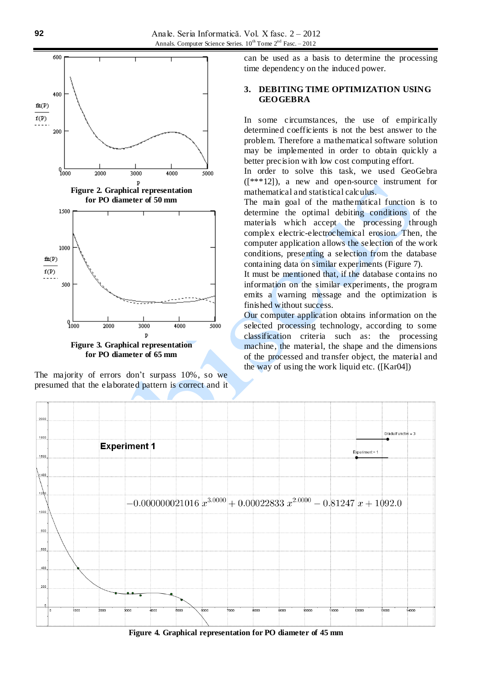

**for PO diameter of 65 mm**

The majority of errors don't surpass 10%, so we presumed that the elaborated pattern is correct and it can be used as a basis to determine the processing time dependency on the induced power.

### **3. DEBITING TIME OPTIMIZATION USING GEOGEBRA**

In some circumstances, the use of empirically determined coefficients is not the best answer to the problem. Therefore a mathematical software solution may be implemented in order to obtain quickly a better precision with low cost computing effort.

In order to solve this task, we used GeoGebra ([\*\*\*12]), a new and open-source instrument for mathematical and statistical calculus.

The main goal of the mathematical function is to determine the optimal debiting conditions of the materials which accept the processing through complex electric-electrochemical erosion. Then, the computer application allows the selection of the work conditions, presenting a selection from the database containing data on similar experiments (Figure 7).

It must be mentioned that, if the database contains no information on the similar experiments, the program emits a warning message and the optimization is finished without success.

Our computer application obtains information on the selected processing technology, according to some classification criteria such as: the processing machine, the material, the shape and the dimensions of the processed and transfer object, the material and the way of using the work liquid etc. ([Kar04])



**Figure 4. Graphical representation for PO diameter of 45 mm**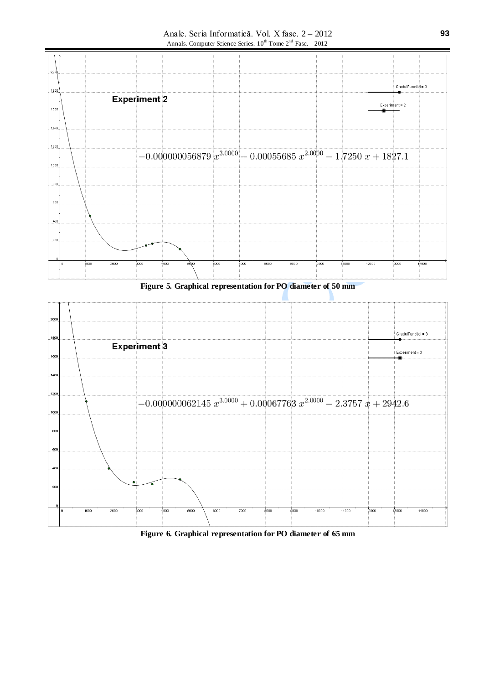Anale. Seria Informatică. Vol. X fasc. 2 – 2012 Annals. Computer Science Series.  $10^{th}$  Tome  $2^{nd}$  Fasc. – 2012



**Figure 5. Graphical representation for PO diameter of 50 mm**